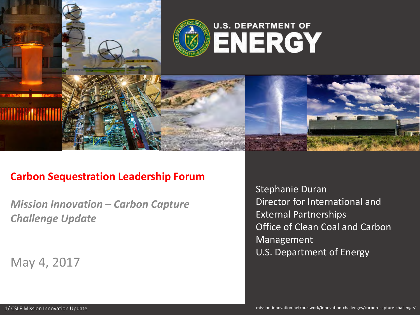

## **Carbon Sequestration Leadership Forum**

*Mission Innovation – Carbon Capture Challenge Update*

May 4, 2017

Stephanie Duran Director for International and External Partnerships Office of Clean Coal and Carbon Management U.S. Department of Energy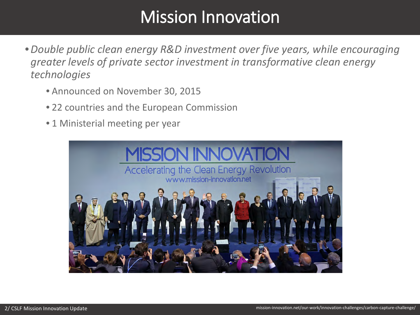# Mission Innovation

- •*Double public clean energy R&D investment over five years, while encouraging greater levels of private sector investment in transformative clean energy technologies*
	- Announced on November 30, 2015
	- 22 countries and the European Commission
	- 1 Ministerial meeting per year

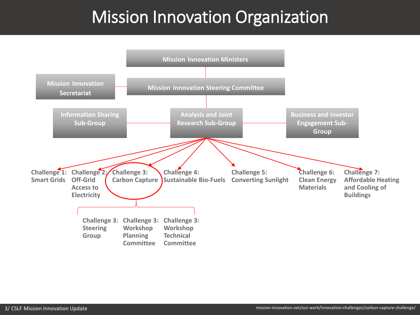# Mission Innovation Organization

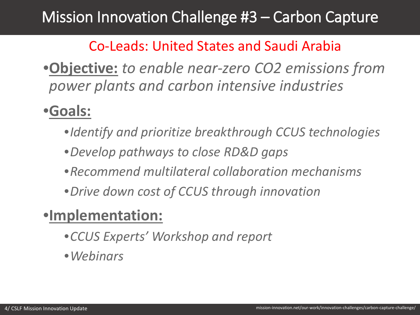# Mission Innovation Challenge #3 – Carbon Capture

## Co-Leads: United States and Saudi Arabia

•**Objective:** *to enable near-zero CO2 emissions from power plants and carbon intensive industries*

# •**Goals:**

- •*Identify and prioritize breakthrough CCUS technologies*
- •*Develop pathways to close RD&D gaps*
- •*Recommend multilateral collaboration mechanisms*
- •*Drive down cost of CCUS through innovation*

# •**Implementation:**

- •*CCUS Experts' Workshop and report*
- •*Webinars*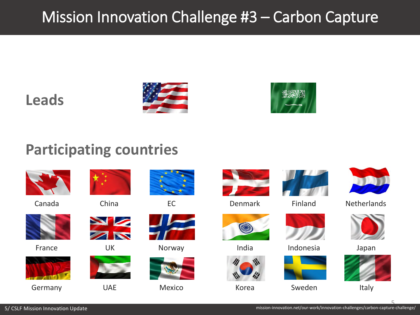# Mission Innovation Challenge #3 – Carbon Capture

## **Leads**





## **Participating countries**







France



Germany UAE Mexico



**NS** 











Denmark



India



Korea



Finland



UK Norway Morthawal India Norway Norway Number Relation Indonesia Indonesia







**Netherlands** 





Italy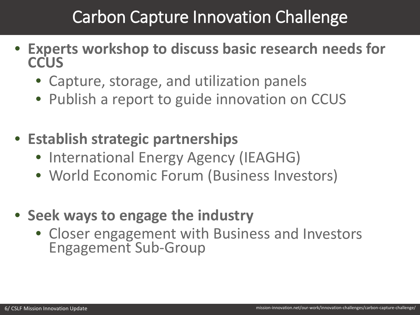# Carbon Capture Innovation Challenge

- **Experts workshop to discuss basic research needs for CCUS**
	- Capture, storage, and utilization panels
	- Publish a report to guide innovation on CCUS
- **Establish strategic partnerships**
	- International Energy Agency (IEAGHG)
	- World Economic Forum (Business Investors)
- **Seek ways to engage the industry**
	- Closer engagement with Business and Investors Engagement Sub-Group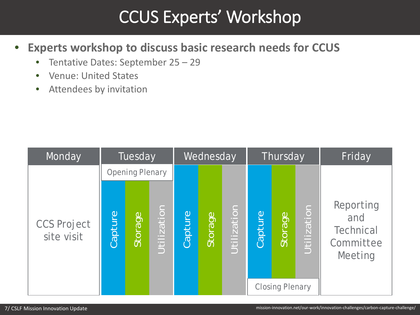# CCUS Experts' Workshop

- **Experts workshop to discuss basic research needs for CCUS**
	- Tentative Dates: September 25 29
	- Venue: United States
	- Attendees by invitation

| Monday                           | Tuesday                |         |             | Wednesday |         |             | Thursday |                                   |             | Friday                                                       |
|----------------------------------|------------------------|---------|-------------|-----------|---------|-------------|----------|-----------------------------------|-------------|--------------------------------------------------------------|
|                                  | <b>Opening Plenary</b> |         |             |           |         |             |          |                                   |             |                                                              |
| <b>CCS Project</b><br>site visit | Capture                | Storage | Utilization | Capture   | Storage | Utilization | Capture  | Storage<br><b>Closing Plenary</b> | Utilization | Reporting<br>and<br><b>Technical</b><br>Committee<br>Meeting |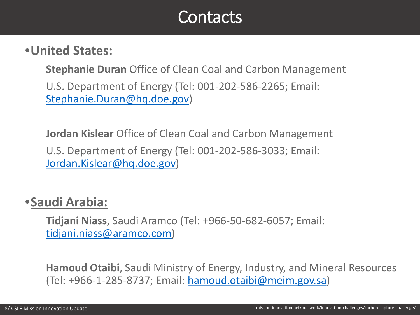# **Contacts**

## •**United States:**

**Stephanie Duran** Office of Clean Coal and Carbon Management

U.S. Department of Energy (Tel: 001-202-586-2265; Email: [Stephanie.Duran@hq.doe.gov](mailto:Stephanie.Duran@hq.doe.gov))

**Jordan Kislear** Office of Clean Coal and Carbon Management U.S. Department of Energy (Tel: 001-202-586-3033; Email: [Jordan.Kislear@hq.doe.gov](mailto:Jordan.Kislear@hq.doe.gov))

## •**Saudi Arabia:**

**Tidjani Niass**, Saudi Aramco (Tel: +966-50-682-6057; Email: [tidjani.niass@aramco.com](mailto:tidjani.niass@aramco.com))

**Hamoud Otaibi**, Saudi Ministry of Energy, Industry, and Mineral Resources (Tel: +966-1-285-8737; Email: [hamoud.otaibi@meim.gov.sa\)](mailto:hamoud.otaibi@meim.gov.sa)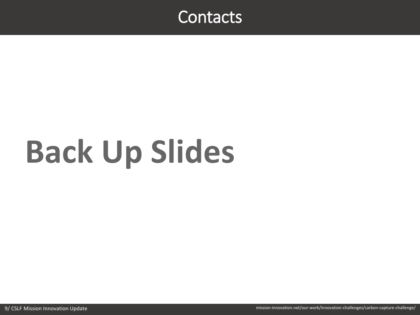

# **Back Up Slides**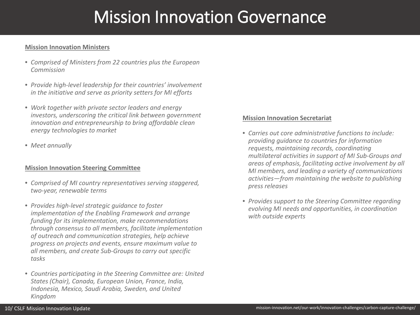# Mission Innovation Governance

#### **Mission Innovation Ministers**

- *Comprised of Ministers from 22 countries plus the European Commission*
- *Provide high-level leadership for their countries' involvement in the initiative and serve as priority setters for MI efforts*
- *Work together with private sector leaders and energy investors, underscoring the critical link between government innovation and entrepreneurship to bring affordable clean energy technologies to market*
- *Meet annually*

#### **Mission Innovation Steering Committee**

- *Comprised of MI country representatives serving staggered, two-year, renewable terms*
- *Provides high-level strategic guidance to foster implementation of the Enabling Framework and arrange funding for its implementation, make recommendations through consensus to all members, facilitate implementation of outreach and communication strategies, help achieve progress on projects and events, ensure maximum value to all members, and create Sub-Groups to carry out specific tasks*
- *Countries participating in the Steering Committee are: United States (Chair), Canada, European Union, France, India, Indonesia, Mexico, Saudi Arabia, Sweden, and United Kingdom*

#### **Mission Innovation Secretariat**

- *Carries out core administrative functions to include: providing guidance to countries for information requests, maintaining records, coordinating multilateral activities in support of MI Sub-Groups and areas of emphasis, facilitating active involvement by all MI members, and leading a variety of communications activities—from maintaining the website to publishing press releases*
- *Provides support to the Steering Committee regarding evolving MI needs and opportunities, in coordination with outside experts*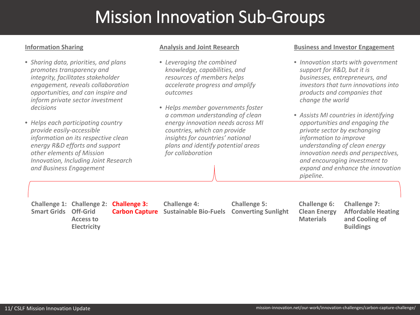# Mission Innovation Sub-Groups

### **Information Sharing**

- *Sharing data, priorities, and plans promotes transparency and integrity, facilitates stakeholder engagement, reveals collaboration opportunities, and can inspire and inform private sector investment decisions*
- *Helps each participating country provide easily-accessible information on its respective clean energy R&D efforts and support other elements of Mission Innovation, Including Joint Research and Business Engagement*

#### **Analysis and Joint Research**

- *Leveraging the combined knowledge, capabilities, and resources of members helps accelerate progress and amplify outcomes*
- *Helps member governments foster a common understanding of clean energy innovation needs across MI countries, which can provide insights for countries' national plans and identify potential areas for collaboration*

#### **Business and Investor Engagement**

- *Innovation starts with government support for R&D, but it is businesses, entrepreneurs, and investors that turn innovations into products and companies that change the world*
- *Assists MI countries in identifying opportunities and engaging the private sector by exchanging information to improve understanding of clean energy innovation needs and perspectives, and encouraging investment to expand and enhance the innovation pipeline.*

**Smart Grids Off-Grid Access to Electricity**

**Challenge 1: Challenge 2: Challenge 3: Carbon Capture Sustainable Bio-Fuels**

**Challenge 4:** 

**Challenge 5: Converting Sunlight** **Challenge 6: Clean Energy Materials**

**Challenge 7: Affordable Heating and Cooling of Buildings**